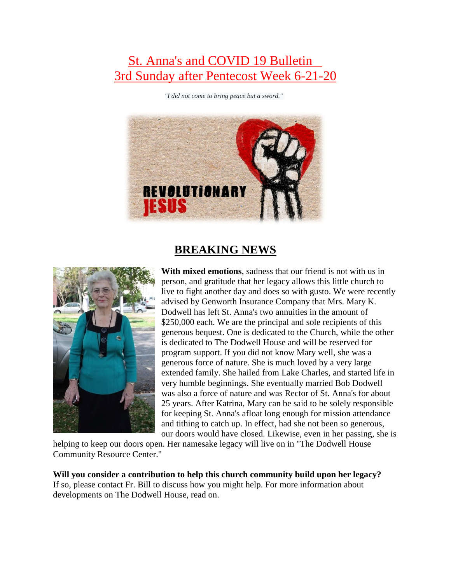## St. Anna's and COVID 19 Bulletin 3rd Sunday after Pentecost Week 6-21-20

*"I did not come to bring peace but a sword."*



### **BREAKING NEWS**



**With mixed emotions**, sadness that our friend is not with us in person, and gratitude that her legacy allows this little church to live to fight another day and does so with gusto. We were recently advised by Genworth Insurance Company that Mrs. Mary K. Dodwell has left St. Anna's two annuities in the amount of \$250,000 each. We are the principal and sole recipients of this generous bequest. One is dedicated to the Church, while the other is dedicated to The Dodwell House and will be reserved for program support. If you did not know Mary well, she was a generous force of nature. She is much loved by a very large extended family. She hailed from Lake Charles, and started life in very humble beginnings. She eventually married Bob Dodwell was also a force of nature and was Rector of St. Anna's for about 25 years. After Katrina, Mary can be said to be solely responsible for keeping St. Anna's afloat long enough for mission attendance and tithing to catch up. In effect, had she not been so generous, our doors would have closed. Likewise, even in her passing, she is

helping to keep our doors open. Her namesake legacy will live on in "The Dodwell House Community Resource Center."

**Will you consider a contribution to help this church community build upon her legacy?** If so, please contact Fr. Bill to discuss how you might help. For more information about developments on The Dodwell House, read on.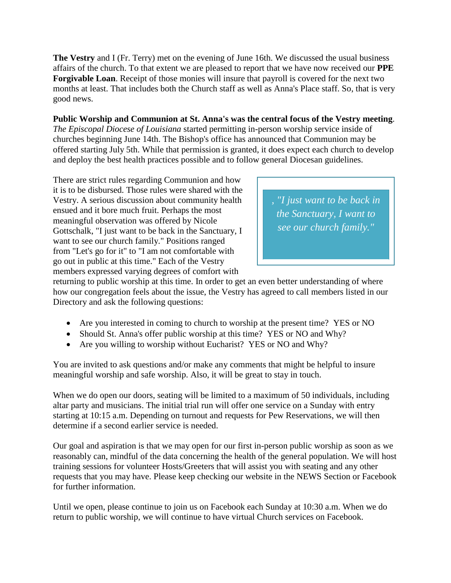**The Vestry** and I (Fr. Terry) met on the evening of June 16th. We discussed the usual business affairs of the church. To that extent we are pleased to report that we have now received our **PPE Forgivable Loan**. Receipt of those monies will insure that payroll is covered for the next two months at least. That includes both the Church staff as well as Anna's Place staff. So, that is very good news.

#### **Public Worship and Communion at St. Anna's was the central focus of the Vestry meeting**.

*The Episcopal Diocese of Louisiana* started permitting in-person worship service inside of churches beginning June 14th. The Bishop's office has announced that Communion may be offered starting July 5th. While that permission is granted, it does expect each church to develop and deploy the best health practices possible and to follow general Diocesan guidelines.

There are strict rules regarding Communion and how it is to be disbursed. Those rules were shared with the Vestry. A serious discussion about community health ensued and it bore much fruit. Perhaps the most meaningful observation was offered by Nicole Gottschalk, "I just want to be back in the Sanctuary, I want to see our church family." Positions ranged from "Let's go for it" to "I am not comfortable with go out in public at this time." Each of the Vestry members expressed varying degrees of comfort with

*, "I just want to be back in the Sanctuary, I want to see our church family."*

returning to public worship at this time. In order to get an even better understanding of where how our congregation feels about the issue, the Vestry has agreed to call members listed in our Directory and ask the following questions:

- Are you interested in coming to church to worship at the present time? YES or NO
- Should St. Anna's offer public worship at this time? YES or NO and Why?
- Are you willing to worship without Eucharist? YES or NO and Why?

You are invited to ask questions and/or make any comments that might be helpful to insure meaningful worship and safe worship. Also, it will be great to stay in touch.

When we do open our doors, seating will be limited to a maximum of 50 individuals, including altar party and musicians. The initial trial run will offer one service on a Sunday with entry starting at 10:15 a.m. Depending on turnout and requests for Pew Reservations, we will then determine if a second earlier service is needed.

Our goal and aspiration is that we may open for our first in-person public worship as soon as we reasonably can, mindful of the data concerning the health of the general population. We will host training sessions for volunteer Hosts/Greeters that will assist you with seating and any other requests that you may have. Please keep checking our website in the NEWS Section or Facebook for further information.

Until we open, please continue to join us on Facebook each Sunday at 10:30 a.m. When we do return to public worship, we will continue to have virtual Church services on Facebook.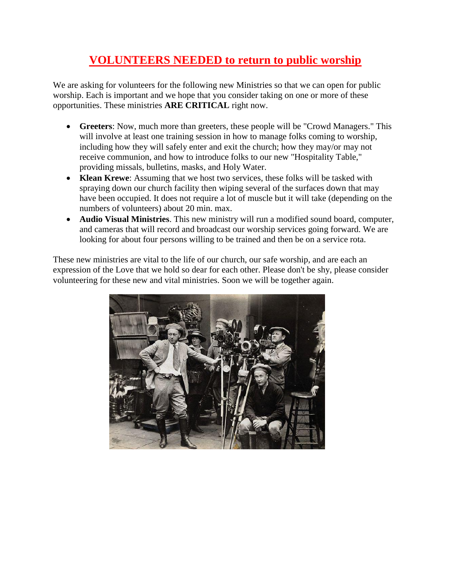## **VOLUNTEERS NEEDED to return to public worship**

We are asking for volunteers for the following new Ministries so that we can open for public worship. Each is important and we hope that you consider taking on one or more of these opportunities. These ministries **ARE CRITICAL** right now.

- **Greeters**: Now, much more than greeters, these people will be "Crowd Managers." This will involve at least one training session in how to manage folks coming to worship, including how they will safely enter and exit the church; how they may/or may not receive communion, and how to introduce folks to our new "Hospitality Table," providing missals, bulletins, masks, and Holy Water.
- **Klean Krewe**: Assuming that we host two services, these folks will be tasked with spraying down our church facility then wiping several of the surfaces down that may have been occupied. It does not require a lot of muscle but it will take (depending on the numbers of volunteers) about 20 min. max.
- **Audio Visual Ministries**. This new ministry will run a modified sound board, computer, and cameras that will record and broadcast our worship services going forward. We are looking for about four persons willing to be trained and then be on a service rota.

These new ministries are vital to the life of our church, our safe worship, and are each an expression of the Love that we hold so dear for each other. Please don't be shy, please consider volunteering for these new and vital ministries. Soon we will be together again.

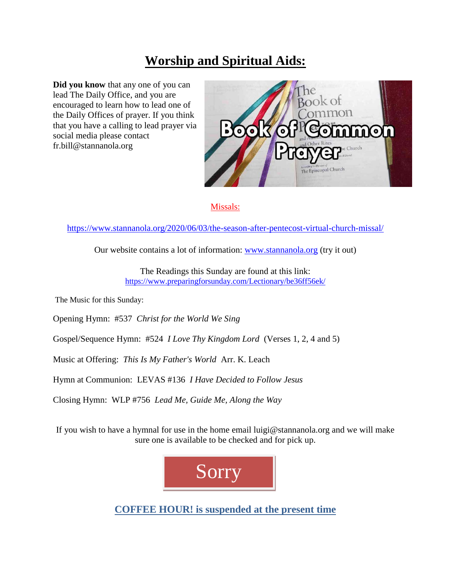# **Worship and Spiritual Aids:**

**Did you know** that any one of you can lead The Daily Office, and you are encouraged to learn how to lead one of the Daily Offices of prayer. If you think that you have a calling to lead prayer via social media please contact fr.bill@stannanola.org



#### Missals:

<https://www.stannanola.org/2020/06/03/the-season-after-pentecost-virtual-church-missal/>

Our website contains a lot of information: [www.stannanola.org](https://www.stannanola.org/) (try it out)

The Readings this Sunday are found at this link: <https://www.preparingforsunday.com/Lectionary/be36ff56ek/>

The Music for this Sunday:

Opening Hymn: #537 *Christ for the World We Sing*

Gospel/Sequence Hymn: #524 *I Love Thy Kingdom Lord* (Verses 1, 2, 4 and 5)

Music at Offering: *This Is My Father's World* Arr. K. Leach

Hymn at Communion: LEVAS #136 *I Have Decided to Follow Jesus*

Closing Hymn: WLP #756 *Lead Me, Guide Me, Along the Way*

If you wish to have a hymnal for use in the home email luigi@stannanola.org and we will make sure one is available to be checked and for pick up.



**COFFEE HOUR! is suspended at the present time**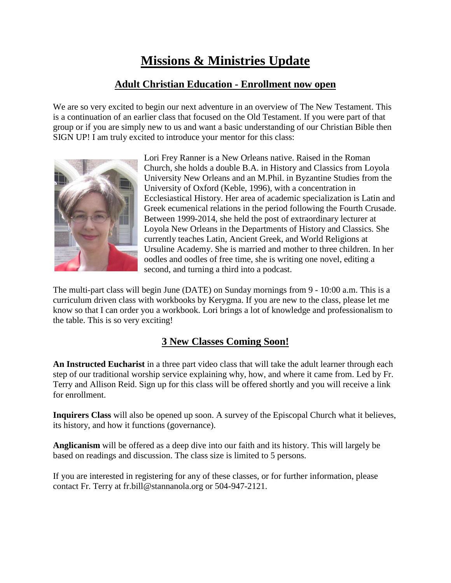## **Missions & Ministries Update**

### **Adult Christian Education - Enrollment now open**

We are so very excited to begin our next adventure in an overview of The New Testament. This is a continuation of an earlier class that focused on the Old Testament. If you were part of that group or if you are simply new to us and want a basic understanding of our Christian Bible then SIGN UP! I am truly excited to introduce your mentor for this class:



Lori Frey Ranner is a New Orleans native. Raised in the Roman Church, she holds a double B.A. in History and Classics from Loyola University New Orleans and an M.Phil. in Byzantine Studies from the University of Oxford (Keble, 1996), with a concentration in Ecclesiastical History. Her area of academic specialization is Latin and Greek ecumenical relations in the period following the Fourth Crusade. Between 1999-2014, she held the post of extraordinary lecturer at Loyola New Orleans in the Departments of History and Classics. She currently teaches Latin, Ancient Greek, and World Religions at Ursuline Academy. She is married and mother to three children. In her oodles and oodles of free time, she is writing one novel, editing a second, and turning a third into a podcast.

The multi-part class will begin June (DATE) on Sunday mornings from 9 - 10:00 a.m. This is a curriculum driven class with workbooks by Kerygma. If you are new to the class, please let me know so that I can order you a workbook. Lori brings a lot of knowledge and professionalism to the table. This is so very exciting!

### **3 New Classes Coming Soon!**

**An Instructed Eucharist** in a three part video class that will take the adult learner through each step of our traditional worship service explaining why, how, and where it came from. Led by Fr. Terry and Allison Reid. Sign up for this class will be offered shortly and you will receive a link for enrollment.

**Inquirers Class** will also be opened up soon. A survey of the Episcopal Church what it believes, its history, and how it functions (governance).

**Anglicanism** will be offered as a deep dive into our faith and its history. This will largely be based on readings and discussion. The class size is limited to 5 persons.

If you are interested in registering for any of these classes, or for further information, please contact Fr. Terry at fr.bill@stannanola.org or 504-947-2121.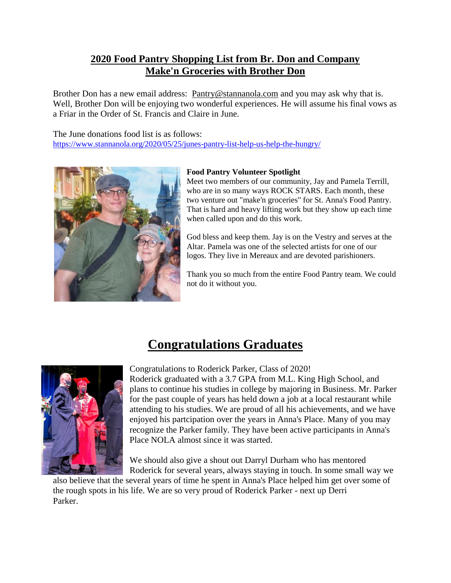#### **2020 Food Pantry Shopping List from Br. Don and Company Make'n Groceries with Brother Don**

Brother Don has a new email address: [Pantry@stannanola.com](mailto:Pantry@stannanola.com) and you may ask why that is. Well, Brother Don will be enjoying two wonderful experiences. He will assume his final vows as a Friar in the Order of St. Francis and Claire in June.

The June donations food list is as follows: <https://www.stannanola.org/2020/05/25/junes-pantry-list-help-us-help-the-hungry/>



#### **Food Pantry Volunteer Spotlight**

Meet two members of our community, Jay and Pamela Terrill, who are in so many ways ROCK STARS. Each month, these two venture out "make'n groceries" for St. Anna's Food Pantry. That is hard and heavy lifting work but they show up each time when called upon and do this work.

God bless and keep them. Jay is on the Vestry and serves at the Altar. Pamela was one of the selected artists for one of our logos. They live in Mereaux and are devoted parishioners.

Thank you so much from the entire Food Pantry team. We could not do it without you.

## **Congratulations Graduates**



Congratulations to Roderick Parker, Class of 2020!

Roderick graduated with a 3.7 GPA from M.L. King High School, and plans to continue his studies in college by majoring in Business. Mr. Parker for the past couple of years has held down a job at a local restaurant while attending to his studies. We are proud of all his achievements, and we have enjoyed his partcipation over the years in Anna's Place. Many of you may recognize the Parker family. They have been active participants in Anna's Place NOLA almost since it was started.

We should also give a shout out Darryl Durham who has mentored Roderick for several years, always staying in touch. In some small way we

also believe that the several years of time he spent in Anna's Place helped him get over some of the rough spots in his life. We are so very proud of Roderick Parker - next up Derri Parker.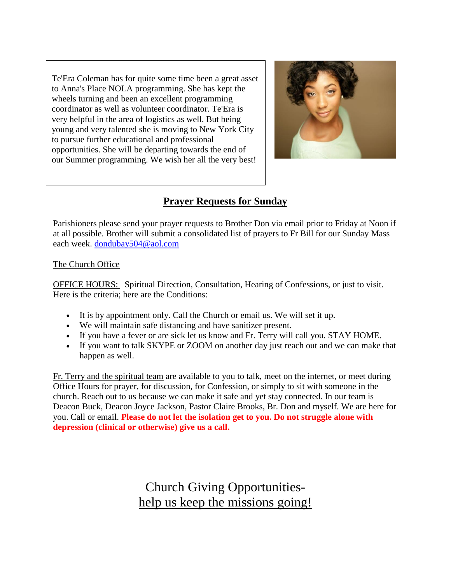Te'Era Coleman has for quite some time been a great asset to Anna's Place NOLA programming. She has kept the wheels turning and been an excellent programming coordinator as well as volunteer coordinator. Te'Era is very helpful in the area of logistics as well. But being young and very talented she is moving to New York City to pursue further educational and professional opportunities. She will be departing towards the end of our Summer programming. We wish her all the very best!



### **Prayer Requests for Sunday**

Parishioners please send your prayer requests to Brother Don via email prior to Friday at Noon if at all possible. Brother will submit a consolidated list of prayers to Fr Bill for our Sunday Mass each week. [dondubay504@aol.com](mailto:dondubay504@aol.com)

#### The Church Office

OFFICE HOURS: Spiritual Direction, Consultation, Hearing of Confessions, or just to visit. Here is the criteria; here are the Conditions:

- It is by appointment only. Call the Church or email us. We will set it up.
- We will maintain safe distancing and have sanitizer present.
- If you have a fever or are sick let us know and Fr. Terry will call you. STAY HOME.
- If you want to talk SKYPE or ZOOM on another day just reach out and we can make that happen as well.

Fr. Terry and the spiritual team are available to you to talk, meet on the internet, or meet during Office Hours for prayer, for discussion, for Confession, or simply to sit with someone in the church. Reach out to us because we can make it safe and yet stay connected. In our team is Deacon Buck, Deacon Joyce Jackson, Pastor Claire Brooks, Br. Don and myself. We are here for you. Call or email. **Please do not let the isolation get to you. Do not struggle alone with depression (clinical or otherwise) give us a call.**

> Church Giving Opportunitieshelp us keep the missions going!